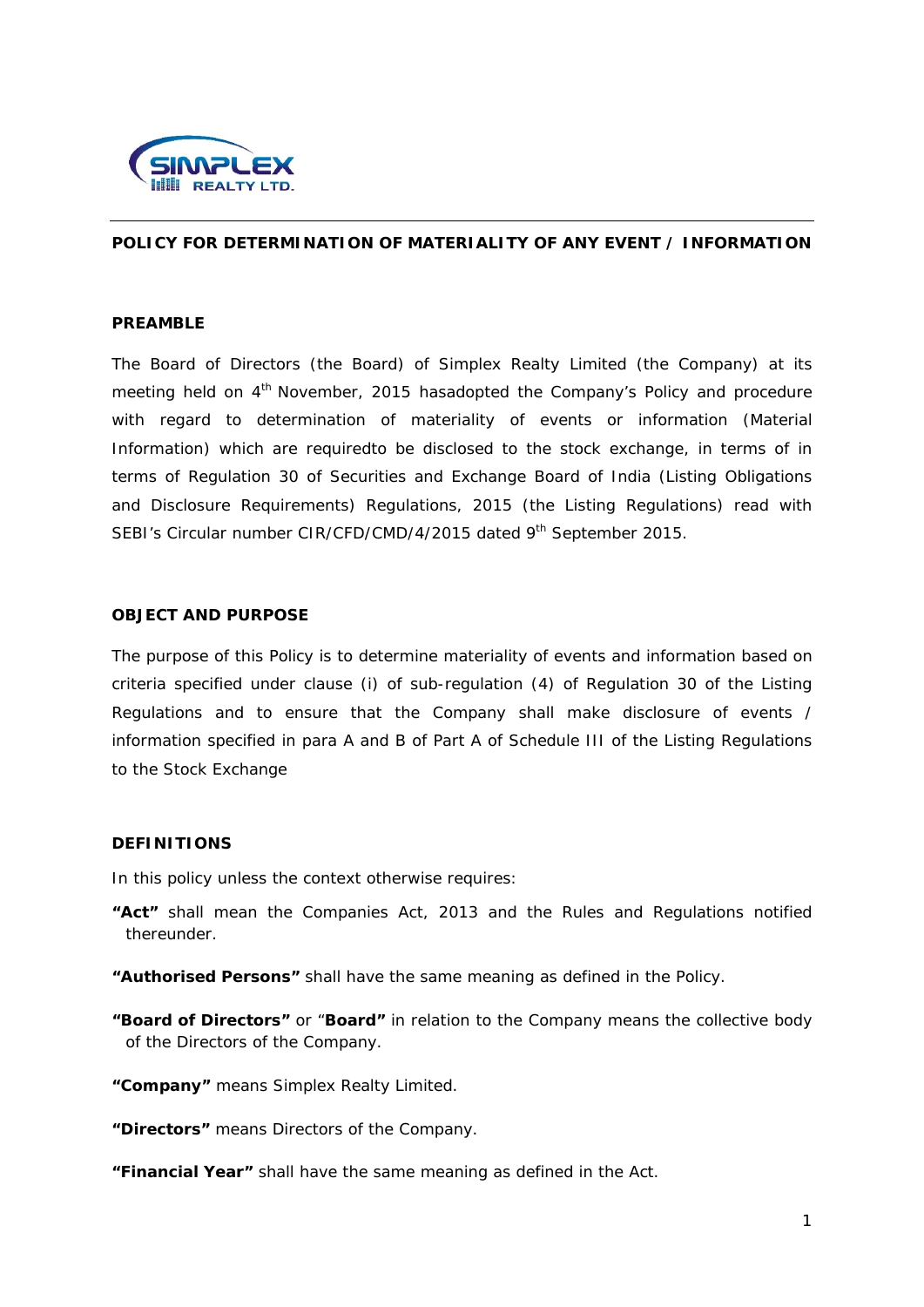

## **POLICY FOR DETERMINATION OF MATERIALITY OF ANY EVENT / INFORMATION**

#### **PREAMBLE**

The Board of Directors (the Board) of Simplex Realty Limited (the Company) at its meeting held on 4<sup>th</sup> November, 2015 hasadopted the Company's Policy and procedure with regard to determination of materiality of events or information (Material Information) which are requiredto be disclosed to the stock exchange, in terms of in terms of Regulation 30 of Securities and Exchange Board of India (Listing Obligations and Disclosure Requirements) Regulations, 2015 (the Listing Regulations) read with SEBI's Circular number CIR/CFD/CMD/4/2015 dated 9<sup>th</sup> September 2015.

### **OBJECT AND PURPOSE**

The purpose of this Policy is to determine materiality of events and information based on criteria specified under clause (i) of sub-regulation (4) of Regulation 30 of the Listing Regulations and to ensure that the Company shall make disclosure of events / information specified in para A and B of Part A of Schedule III of the Listing Regulations to the Stock Exchange

#### **DEFINITIONS**

In this policy unless the context otherwise requires:

- **"Act"** shall mean the Companies Act, 2013 and the Rules and Regulations notified thereunder.
- **"Authorised Persons"** shall have the same meaning as defined in the Policy.
- **"Board of Directors"** or "**Board"** in relation to the Company means the collective body of the Directors of the Company.
- **"Company"** means Simplex Realty Limited.

**"Directors"** means Directors of the Company.

**"Financial Year"** shall have the same meaning as defined in the Act.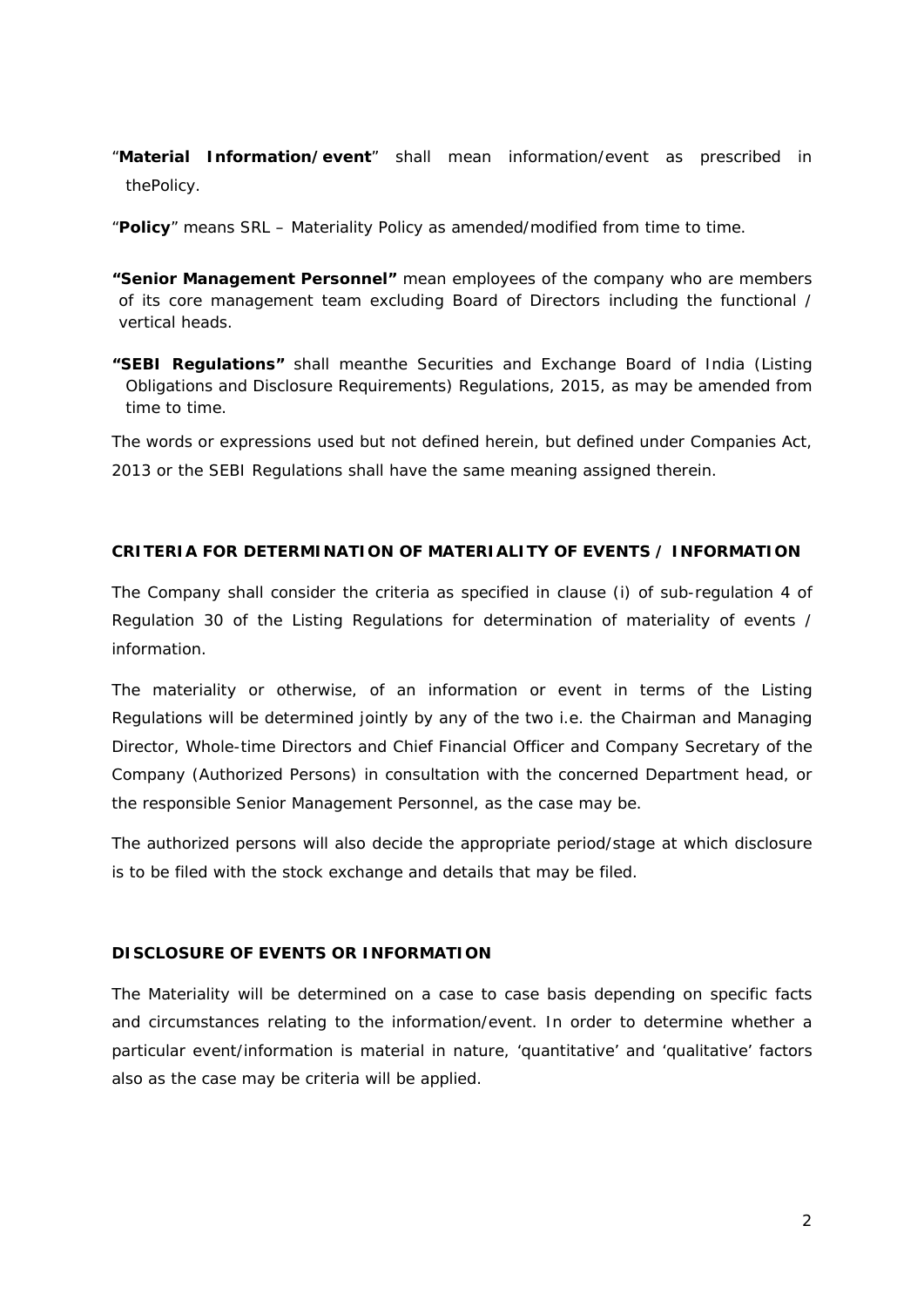- "**Material Information/event**" shall mean information/event as prescribed in thePolicy.
- "**Policy**" means SRL Materiality Policy as amended/modified from time to time.
- **"Senior Management Personnel"** mean employees of the company who are members of its core management team excluding Board of Directors including the functional / vertical heads.
- **"SEBI Regulations"** shall meanthe Securities and Exchange Board of India (Listing Obligations and Disclosure Requirements) Regulations, 2015, as may be amended from time to time.

The words or expressions used but not defined herein, but defined under Companies Act, 2013 or the SEBI Regulations shall have the same meaning assigned therein.

# **CRITERIA FOR DETERMINATION OF MATERIALITY OF EVENTS / INFORMATION**

The Company shall consider the criteria as specified in clause (i) of sub-regulation 4 of Regulation 30 of the Listing Regulations for determination of materiality of events / information.

The materiality or otherwise, of an information or event in terms of the Listing Regulations will be determined jointly by any of the two i.e. the Chairman and Managing Director, Whole-time Directors and Chief Financial Officer and Company Secretary of the Company (Authorized Persons) in consultation with the concerned Department head, or the responsible Senior Management Personnel, as the case may be.

The authorized persons will also decide the appropriate period/stage at which disclosure is to be filed with the stock exchange and details that may be filed.

# **DISCLOSURE OF EVENTS OR INFORMATION**

The Materiality will be determined on a case to case basis depending on specific facts and circumstances relating to the information/event. In order to determine whether a particular event/information is material in nature, 'quantitative' and 'qualitative' factors also as the case may be criteria will be applied.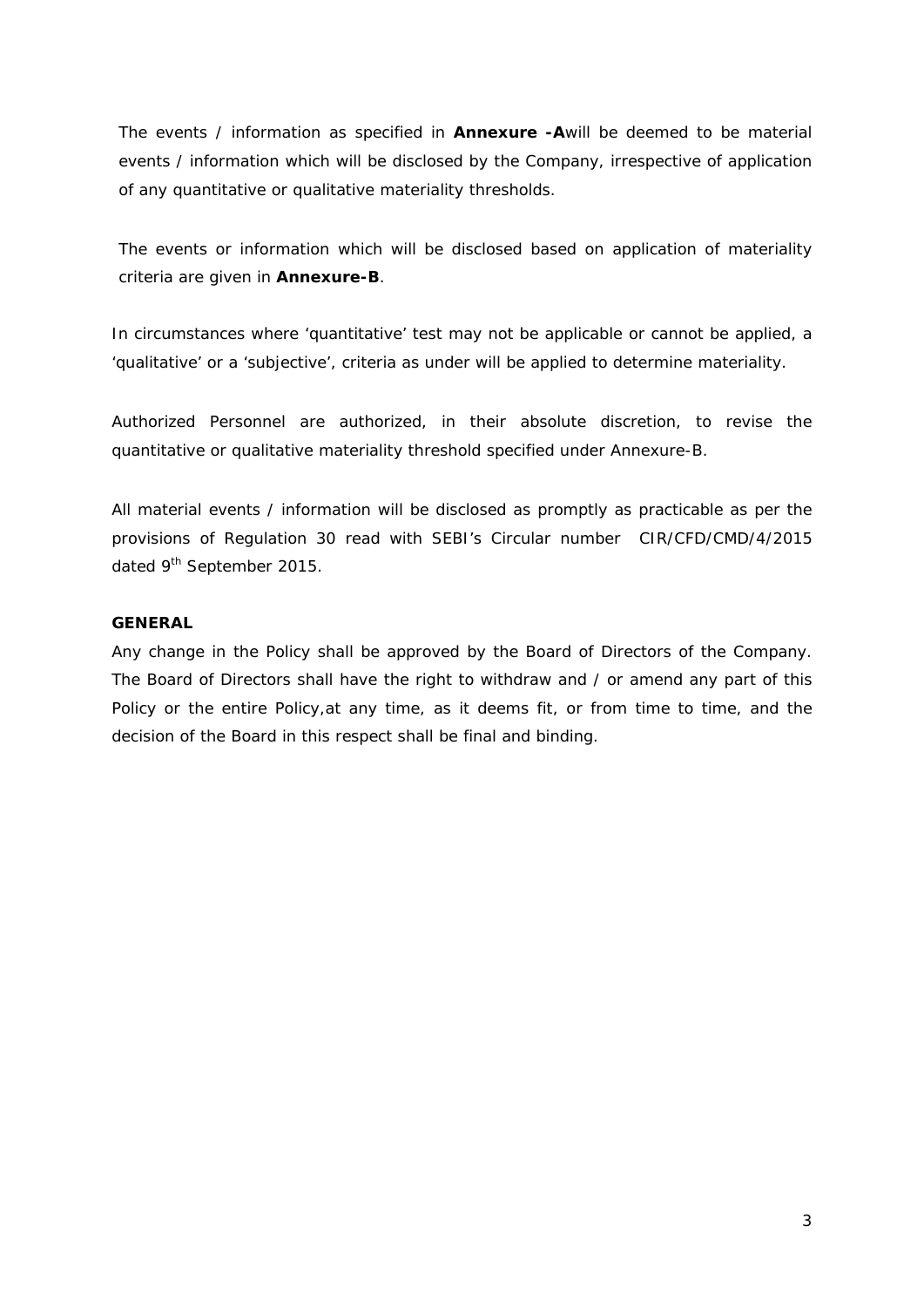The events / information as specified in **Annexure -A**will be deemed to be material events / information which will be disclosed by the Company, irrespective of application of any quantitative or qualitative materiality thresholds.

The events or information which will be disclosed based on application of materiality criteria are given in **Annexure-B**.

In circumstances where 'quantitative' test may not be applicable or cannot be applied, a 'qualitative' or a 'subjective', criteria as under will be applied to determine materiality.

Authorized Personnel are authorized, in their absolute discretion, to revise the quantitative or qualitative materiality threshold specified under Annexure-B.

All material events / information will be disclosed as promptly as practicable as per the provisions of Regulation 30 read with SEBI's Circular number CIR/CFD/CMD/4/2015 dated 9<sup>th</sup> September 2015.

## **GENERAL**

Any change in the Policy shall be approved by the Board of Directors of the Company. The Board of Directors shall have the right to withdraw and / or amend any part of this Policy or the entire Policy,at any time, as it deems fit, or from time to time, and the decision of the Board in this respect shall be final and binding.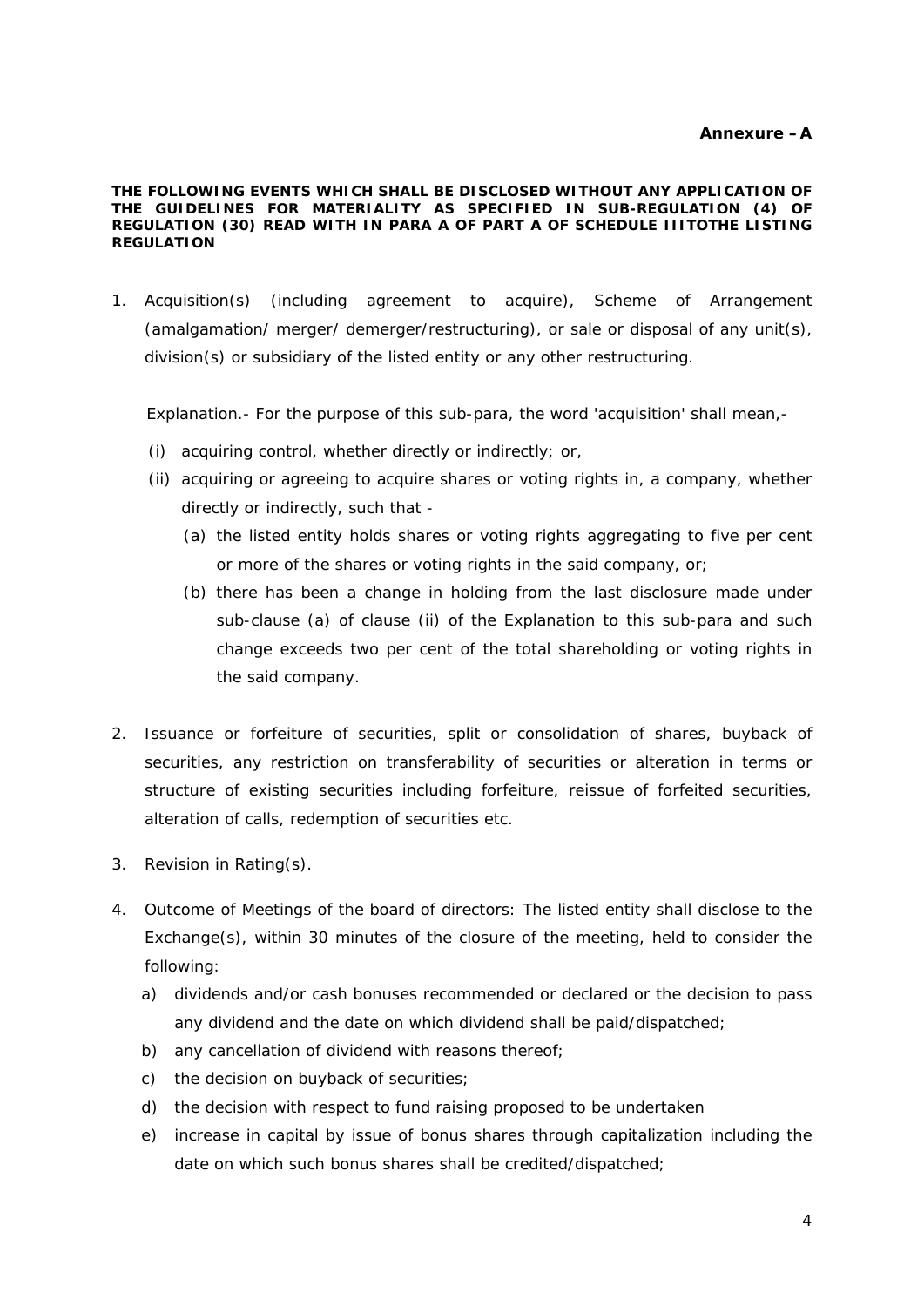#### **THE FOLLOWING EVENTS WHICH SHALL BE DISCLOSED WITHOUT ANY APPLICATION OF THE GUIDELINES FOR MATERIALITY AS SPECIFIED IN SUB-REGULATION (4) OF REGULATION (30) READ WITH IN PARA A OF PART A OF SCHEDULE IIITOTHE LISTING REGULATION**

1. Acquisition(s) (including agreement to acquire), Scheme of Arrangement (amalgamation/ merger/ demerger/restructuring), or sale or disposal of any unit(s), division(s) or subsidiary of the listed entity or any other restructuring.

Explanation.- For the purpose of this sub-para, the word 'acquisition' shall mean,-

- (i) acquiring control, whether directly or indirectly; or,
- (ii) acquiring or agreeing to acquire shares or voting rights in, a company, whether directly or indirectly, such that -
	- (a) the listed entity holds shares or voting rights aggregating to five per cent or more of the shares or voting rights in the said company, or;
	- (b) there has been a change in holding from the last disclosure made under sub-clause (a) of clause (ii) of the Explanation to this sub-para and such change exceeds two per cent of the total shareholding or voting rights in the said company.
- 2. Issuance or forfeiture of securities, split or consolidation of shares, buyback of securities, any restriction on transferability of securities or alteration in terms or structure of existing securities including forfeiture, reissue of forfeited securities, alteration of calls, redemption of securities etc.
- 3. Revision in Rating(s).
- 4. Outcome of Meetings of the board of directors: The listed entity shall disclose to the Exchange(s), within 30 minutes of the closure of the meeting, held to consider the following:
	- a) dividends and/or cash bonuses recommended or declared or the decision to pass any dividend and the date on which dividend shall be paid/dispatched;
	- b) any cancellation of dividend with reasons thereof;
	- c) the decision on buyback of securities;
	- d) the decision with respect to fund raising proposed to be undertaken
	- e) increase in capital by issue of bonus shares through capitalization including the date on which such bonus shares shall be credited/dispatched;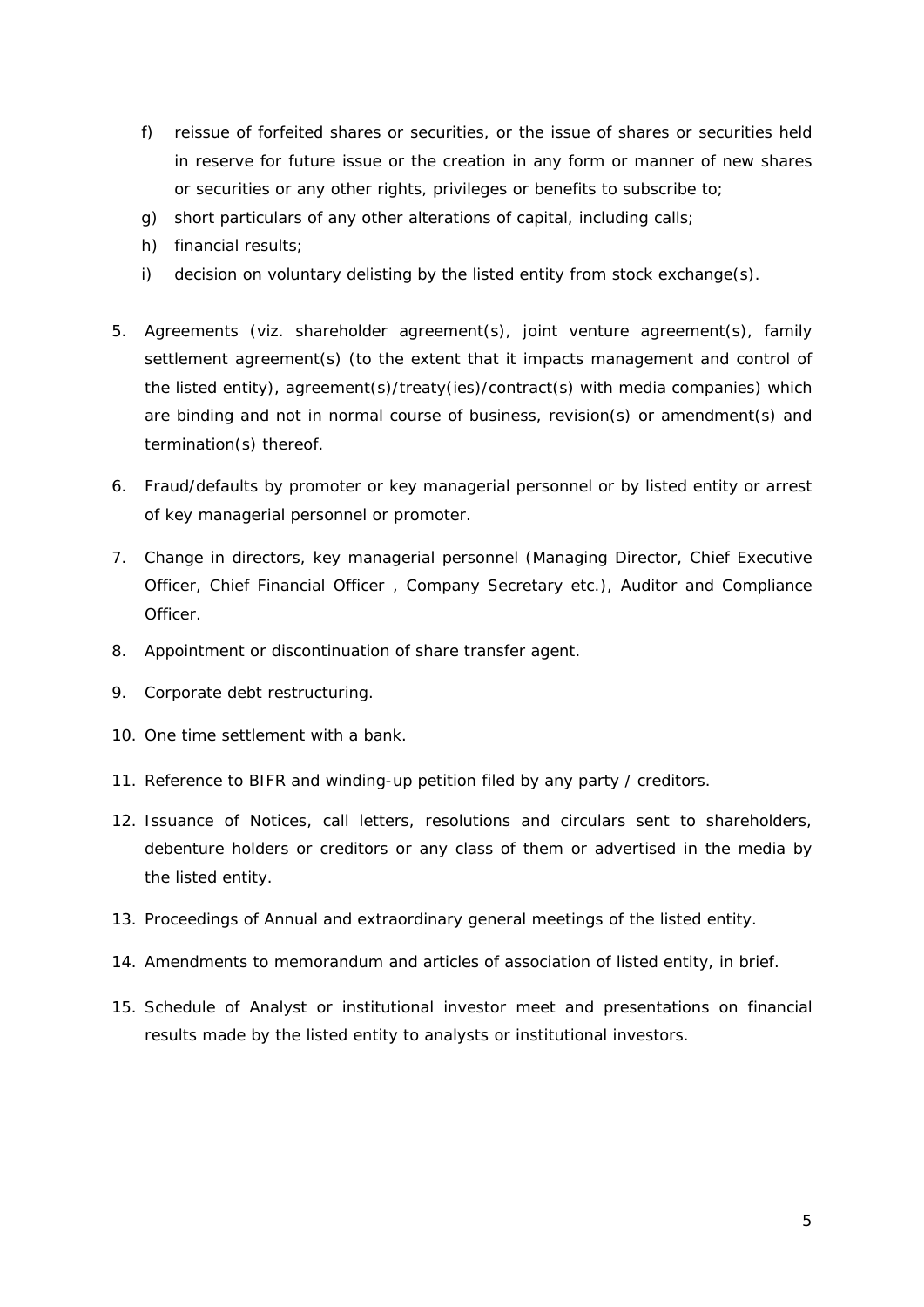- f) reissue of forfeited shares or securities, or the issue of shares or securities held in reserve for future issue or the creation in any form or manner of new shares or securities or any other rights, privileges or benefits to subscribe to;
- g) short particulars of any other alterations of capital, including calls;
- h) financial results;
- i) decision on voluntary delisting by the listed entity from stock exchange(s).
- 5. Agreements (viz. shareholder agreement(s), joint venture agreement(s), family settlement agreement(s) (to the extent that it impacts management and control of the listed entity), agreement(s)/treaty(ies)/contract(s) with media companies) which are binding and not in normal course of business, revision(s) or amendment(s) and termination(s) thereof.
- 6. Fraud/defaults by promoter or key managerial personnel or by listed entity or arrest of key managerial personnel or promoter.
- 7. Change in directors, key managerial personnel (Managing Director, Chief Executive Officer, Chief Financial Officer , Company Secretary etc.), Auditor and Compliance Officer.
- 8. Appointment or discontinuation of share transfer agent.
- 9. Corporate debt restructuring.
- 10. One time settlement with a bank.
- 11. Reference to BIFR and winding-up petition filed by any party / creditors.
- 12. Issuance of Notices, call letters, resolutions and circulars sent to shareholders, debenture holders or creditors or any class of them or advertised in the media by the listed entity.
- 13. Proceedings of Annual and extraordinary general meetings of the listed entity.
- 14. Amendments to memorandum and articles of association of listed entity, in brief.
- 15. Schedule of Analyst or institutional investor meet and presentations on financial results made by the listed entity to analysts or institutional investors.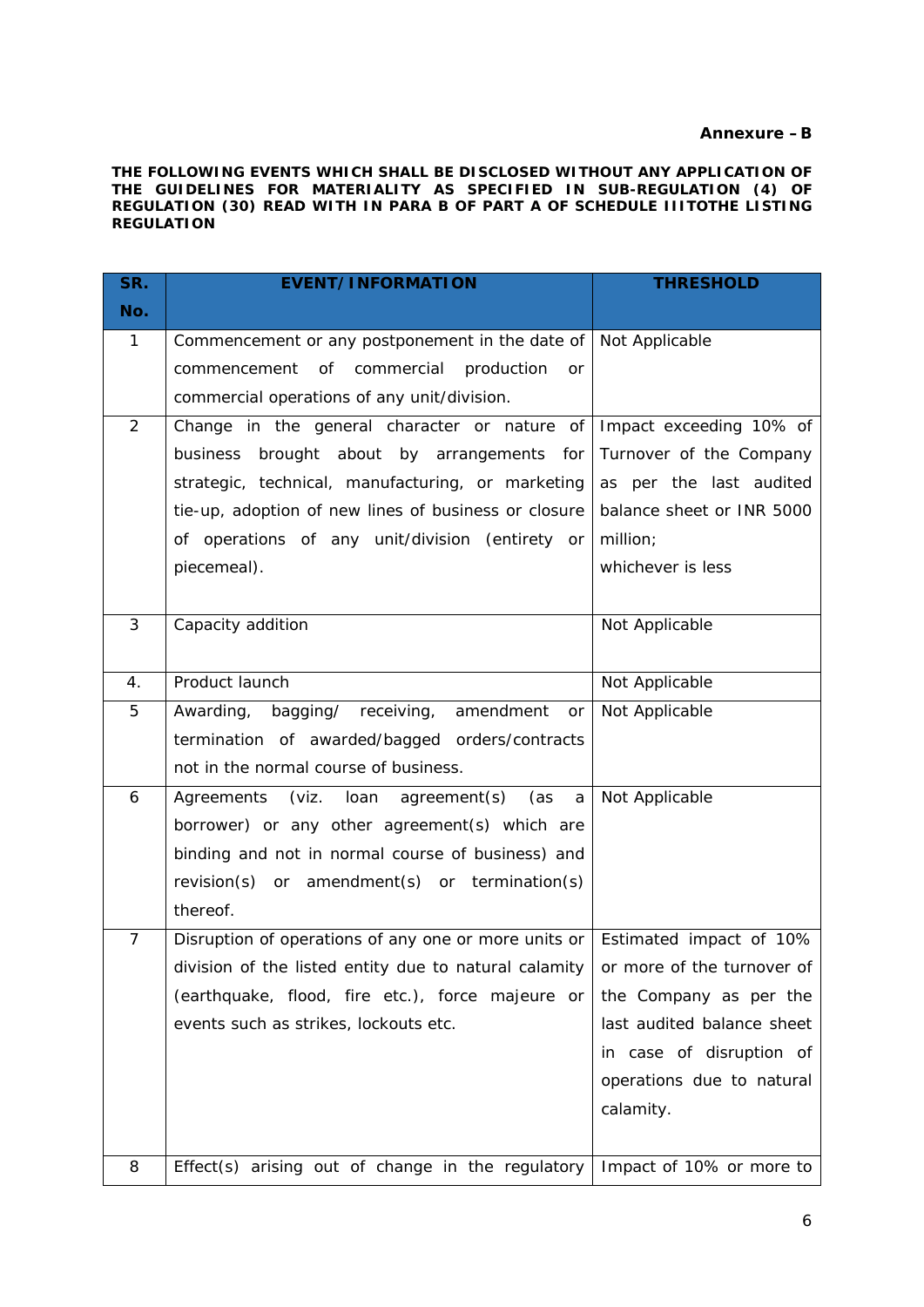# **Annexure –B**

**THE FOLLOWING EVENTS WHICH SHALL BE DISCLOSED WITHOUT ANY APPLICATION OF THE GUIDELINES FOR MATERIALITY AS SPECIFIED IN SUB-REGULATION (4) OF REGULATION (30) READ WITH IN PARA B OF PART A OF SCHEDULE IIITOTHE LISTING REGULATION**

| SR.            | <b>EVENT/INFORMATION</b>                                                         | <b>THRESHOLD</b>           |
|----------------|----------------------------------------------------------------------------------|----------------------------|
| No.            |                                                                                  |                            |
| 1              | Commencement or any postponement in the date of Not Applicable                   |                            |
|                | of commercial<br>production<br>commencement<br><b>or</b>                         |                            |
|                | commercial operations of any unit/division.                                      |                            |
| $\overline{2}$ | Change in the general character or nature of                                     | Impact exceeding 10% of    |
|                | business brought about by arrangements for                                       | Turnover of the Company    |
|                | strategic, technical, manufacturing, or marketing                                | as per the last audited    |
|                | tie-up, adoption of new lines of business or closure                             | balance sheet or INR 5000  |
|                | of operations of any unit/division (entirety or                                  | million;                   |
|                | piecemeal).                                                                      | whichever is less          |
|                |                                                                                  |                            |
| 3              | Capacity addition                                                                | Not Applicable             |
|                |                                                                                  |                            |
| 4.             | Product launch                                                                   | Not Applicable             |
| 5              | Awarding, bagging/ receiving, amendment<br>or                                    | Not Applicable             |
|                | termination of awarded/bagged orders/contracts                                   |                            |
|                | not in the normal course of business.                                            |                            |
| 6              | Agreements (viz. loan agreement(s) (as<br>a                                      | Not Applicable             |
|                | borrower) or any other agreement(s) which are                                    |                            |
|                | binding and not in normal course of business) and                                |                            |
|                | revision(s) or amendment(s) or termination(s)                                    |                            |
|                | thereof.                                                                         |                            |
| $\overline{7}$ | Disruption of operations of any one or more units or Estimated impact of 10%     |                            |
|                | division of the listed entity due to natural calamity or more of the turnover of |                            |
|                | (earthquake, flood, fire etc.), force majeure or                                 | the Company as per the     |
|                | events such as strikes, lockouts etc.                                            | last audited balance sheet |
|                |                                                                                  | in case of disruption of   |
|                |                                                                                  | operations due to natural  |
|                |                                                                                  | calamity.                  |
|                |                                                                                  |                            |
| 8              | Effect(s) arising out of change in the regulatory                                | Impact of 10% or more to   |